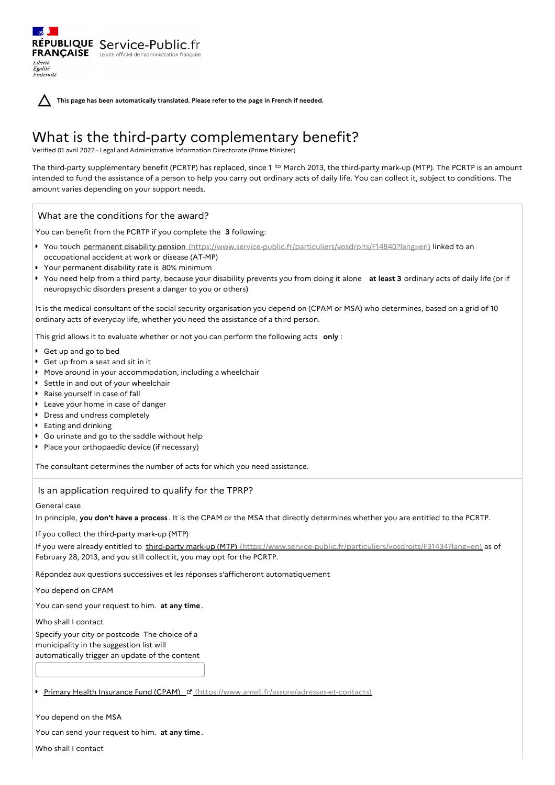**This page has been automatically translated. Please refer to the page in French if needed.**

# What is the third-party complementary benefit?

Verified 01 avril 2022 - Legal and Administrative Information Directorate (Prime Minister)

The third-party supplementary benefit (PCRTP) has replaced, since 1<sup>to</sup> March 2013, the third-party mark-up (MTP). The PCRTP is an amount intended to fund the assistance of a person to help you carry out ordinary acts of daily life. You can collect it, subject to conditions. The amount varies depending on your support needs.

# What are the conditions for the award?

RÉPUBLIQUE Service-Public.fr **FRANÇAISE** Le site officiel de l'administration fran

Liberté Égalité Fraternité

You can benefit from the PCRTP if you complete the **3** following:

- ▶ You touch permanent disability pension [\(https://www.service-public.fr/particuliers/vosdroits/F14840?lang=en\)](https://www.service-public.fr/particuliers/vosdroits/F14840?lang=en) linked to an occupational accident at work or disease (AT-MP)
- Your permanent disability rate is 80% minimum
- You need help from a third party, because your disability prevents you from doing it alone **at least 3** ordinary acts of daily life (or if neuropsychic disorders present a danger to you or others)

It is the medical consultant of the social security organisation you depend on (CPAM or MSA) who determines, based on a grid of 10 ordinary acts of everyday life, whether you need the assistance of a third person.

This grid allows it to evaluate whether or not you can perform the following acts **only** :

- Get up and go to bed
- Get up from a seat and sit in it
- Move around in your accommodation, including a wheelchair
- Settle in and out of your wheelchair
- Raise yourself in case of fall
- **Leave your home in case of danger**
- Dress and undress completely
- **Eating and drinking**
- Go urinate and go to the saddle without help
- Place your orthopaedic device (if necessary)

The consultant determines the number of acts for which you need assistance.

## Is an application required to qualify for the TPRP?

## General case

In principle, **you don't have a process** . It is the CPAM or the MSA that directly determines whether you are entitled to the PCRTP.

If you collect the third-party mark-up (MTP)

If you were already entitled to third-party mark-up (MTP) [\(https://www.service-public.fr/particuliers/vosdroits/F31434?lang=en\)](https://www.service-public.fr/particuliers/vosdroits/F31434?lang=en) as of February 28, 2013, and you still collect it, you may opt for the PCRTP.

Répondez aux questions successives et les réponses s'afficheront automatiquement

You depend on CPAM

You can send your request to him. **at any time** .

Who shall I contact

Specify your city or postcode The choice of a municipality in the suggestion list will automatically trigger an update of the content

Primary Health Insurance Fund (CPAM) ¤ [\(https://www.ameli.fr/assure/adresses-et-contacts\)](https://www.ameli.fr/assure/adresses-et-contacts)

## You depend on the MSA

You can send your request to him. **at any time** .

Who shall I contact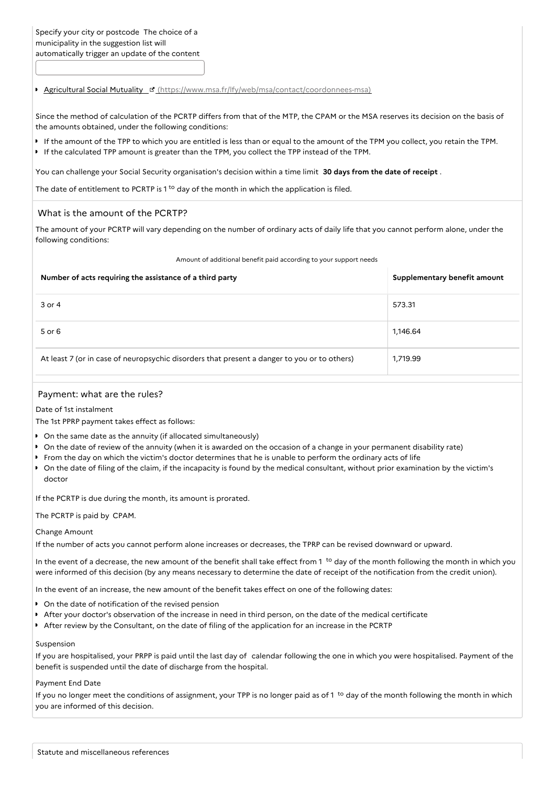**Agricultural Social Mutuality & [\(https://www.msa.fr/lfy/web/msa/contact/coordonnees-msa\)](https://www.msa.fr/lfy/web/msa/contact/coordonnees-msa)** 

Since the method of calculation of the PCRTP differs from that of the MTP, the CPAM or the MSA reserves its decision on the basis of the amounts obtained, under the following conditions:

- If the amount of the TPP to which you are entitled is less than or equal to the amount of the TPM you collect, you retain the TPM.
- If the calculated TPP amount is greater than the TPM, you collect the TPP instead of the TPM.

You can challenge your Social Security organisation's decision within a time limit **30 days from the date of receipt** .

The date of entitlement to PCRTP is  $1<sup>to</sup>$  day of the month in which the application is filed.

### What is the amount of the PCRTP?

The amount of your PCRTP will vary depending on the number of ordinary acts of daily life that you cannot perform alone, under the following conditions:

Amount of additional benefit paid according to your support needs

| Number of acts requiring the assistance of a third party                                    | Supplementary benefit amount |
|---------------------------------------------------------------------------------------------|------------------------------|
| 3 or 4                                                                                      | 573.31                       |
| $5$ or $6$                                                                                  | 1,146.64                     |
| At least 7 (or in case of neuropsychic disorders that present a danger to you or to others) | 1,719.99                     |

## Payment: what are the rules?

Date of 1st instalment

The 1st PPRP payment takes effect as follows:

- On the same date as the annuity (if allocated simultaneously)
- On the date of review of the annuity (when it is awarded on the occasion of a change in your permanent disability rate)
- From the day on which the victim's doctor determines that he is unable to perform the ordinary acts of life
- On the date of filing of the claim, if the incapacity is found by the medical consultant, without prior examination by the victim's doctor

If the PCRTP is due during the month, its amount is prorated.

The PCRTP is paid by CPAM.

#### Change Amount

If the number of acts you cannot perform alone increases or decreases, the TPRP can be revised downward or upward.

In the event of a decrease, the new amount of the benefit shall take effect from 1<sup>to</sup> day of the month following the month in which you were informed of this decision (by any means necessary to determine the date of receipt of the notification from the credit union).

In the event of an increase, the new amount of the benefit takes effect on one of the following dates:

- $\bullet$  On the date of notification of the revised pension
- After your doctor's observation of the increase in need in third person, on the date of the medical certificate
- After review by the Consultant, on the date of filing of the application for an increase in the PCRTP

#### Suspension

If you are hospitalised, your PRPP is paid until the last day of calendar following the one in which you were hospitalised. Payment of the benefit is suspended until the date of discharge from the hospital.

#### Payment End Date

If you no longer meet the conditions of assignment, your TPP is no longer paid as of 1<sup>to</sup> day of the month following the month in which you are informed of this decision.